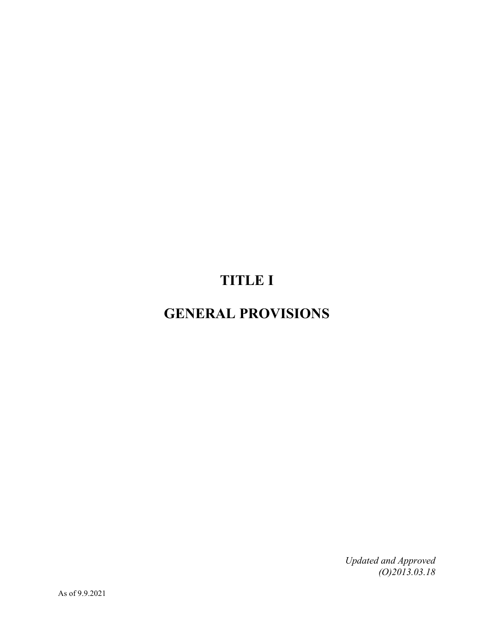# **TITLE I**

## **GENERAL PROVISIONS**

*Updated and Approved (O)2013.03.18*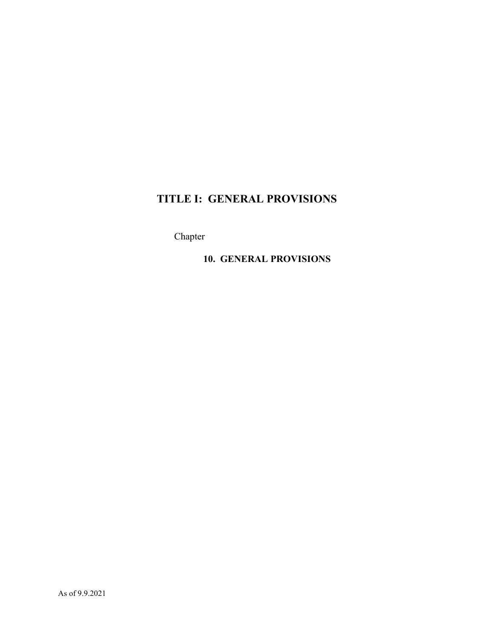## **TITLE I: GENERAL PROVISIONS**

Chapter

**10. GENERAL PROVISIONS**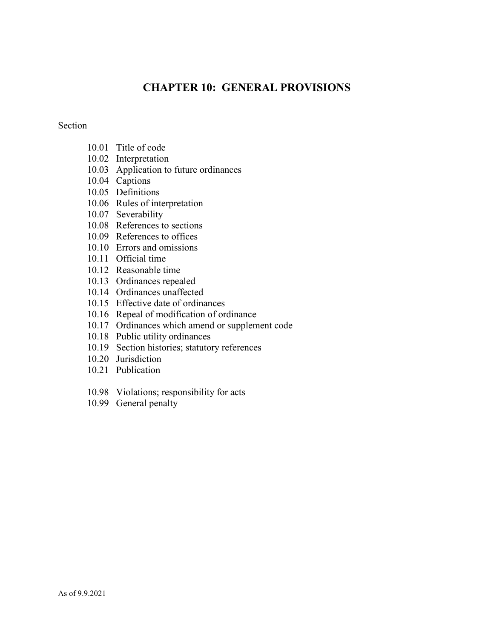## **CHAPTER 10: GENERAL PROVISIONS**

#### Section

- 10.01 Title of code
- 10.02 Interpretation
- 10.03 Application to future ordinances
- 10.04 Captions
- 10.05 Definitions
- 10.06 Rules of interpretation
- 10.07 Severability
- 10.08 References to sections
- 10.09 References to offices
- 10.10 Errors and omissions
- 10.11 Official time
- 10.12 Reasonable time
- 10.13 Ordinances repealed
- 10.14 Ordinances unaffected
- 10.15 Effective date of ordinances
- 10.16 Repeal of modification of ordinance
- 10.17 Ordinances which amend or supplement code
- 10.18 Public utility ordinances
- 10.19 Section histories; statutory references
- 10.20 Jurisdiction
- 10.21 Publication
- 10.98 Violations; responsibility for acts
- 10.99 General penalty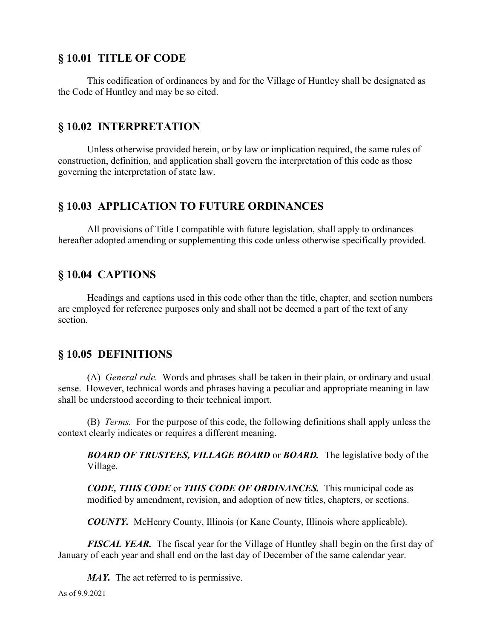## **§ 10.01 TITLE OF CODE**

This codification of ordinances by and for the Village of Huntley shall be designated as the Code of Huntley and may be so cited.

#### **§ 10.02 INTERPRETATION**

Unless otherwise provided herein, or by law or implication required, the same rules of construction, definition, and application shall govern the interpretation of this code as those governing the interpretation of state law.

#### **§ 10.03 APPLICATION TO FUTURE ORDINANCES**

All provisions of Title I compatible with future legislation, shall apply to ordinances hereafter adopted amending or supplementing this code unless otherwise specifically provided.

#### **§ 10.04 CAPTIONS**

Headings and captions used in this code other than the title, chapter, and section numbers are employed for reference purposes only and shall not be deemed a part of the text of any section.

#### **§ 10.05 DEFINITIONS**

(A) *General rule.* Words and phrases shall be taken in their plain, or ordinary and usual sense. However, technical words and phrases having a peculiar and appropriate meaning in law shall be understood according to their technical import.

(B) *Terms.* For the purpose of this code, the following definitions shall apply unless the context clearly indicates or requires a different meaning.

*BOARD OF TRUSTEES, VILLAGE BOARD* or *BOARD.* The legislative body of the Village.

*CODE, THIS CODE* or *THIS CODE OF ORDINANCES.* This municipal code as modified by amendment, revision, and adoption of new titles, chapters, or sections.

*COUNTY.* McHenry County, Illinois (or Kane County, Illinois where applicable).

*FISCAL YEAR.* The fiscal year for the Village of Huntley shall begin on the first day of January of each year and shall end on the last day of December of the same calendar year.

*MAY.* The act referred to is permissive.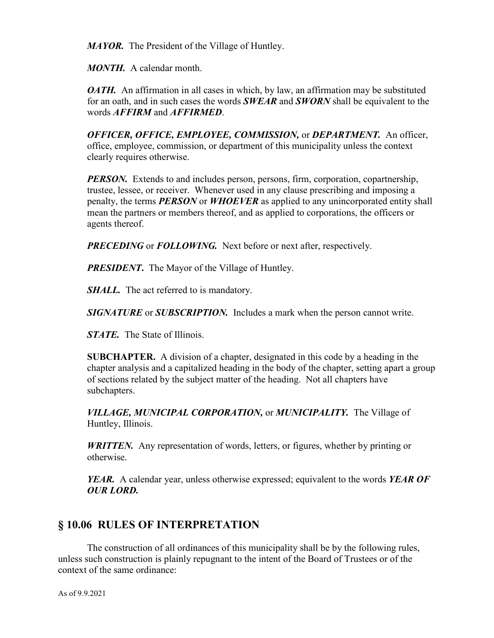*MAYOR.* The President of the Village of Huntley.

*MONTH.* A calendar month.

*OATH.* An affirmation in all cases in which, by law, an affirmation may be substituted for an oath, and in such cases the words *SWEAR* and *SWORN* shall be equivalent to the words *AFFIRM* and *AFFIRMED*.

*OFFICER, OFFICE, EMPLOYEE, COMMISSION,* or *DEPARTMENT.* An officer, office, employee, commission, or department of this municipality unless the context clearly requires otherwise.

*PERSON.* Extends to and includes person, persons, firm, corporation, copartnership, trustee, lessee, or receiver. Whenever used in any clause prescribing and imposing a penalty, the terms *PERSON* or *WHOEVER* as applied to any unincorporated entity shall mean the partners or members thereof, and as applied to corporations, the officers or agents thereof.

**PRECEDING** or **FOLLOWING**. Next before or next after, respectively.

**PRESIDENT.** The Mayor of the Village of Huntley.

*SHALL*. The act referred to is mandatory.

*SIGNATURE* or *SUBSCRIPTION.* Includes a mark when the person cannot write.

*STATE.* The State of Illinois.

**SUBCHAPTER.** A division of a chapter, designated in this code by a heading in the chapter analysis and a capitalized heading in the body of the chapter, setting apart a group of sections related by the subject matter of the heading. Not all chapters have subchapters.

*VILLAGE, MUNICIPAL CORPORATION,* or *MUNICIPALITY.* The Village of Huntley, Illinois.

*WRITTEN.* Any representation of words, letters, or figures, whether by printing or otherwise.

*YEAR.* A calendar year, unless otherwise expressed; equivalent to the words *YEAR OF OUR LORD.*

## **§ 10.06 RULES OF INTERPRETATION**

The construction of all ordinances of this municipality shall be by the following rules, unless such construction is plainly repugnant to the intent of the Board of Trustees or of the context of the same ordinance: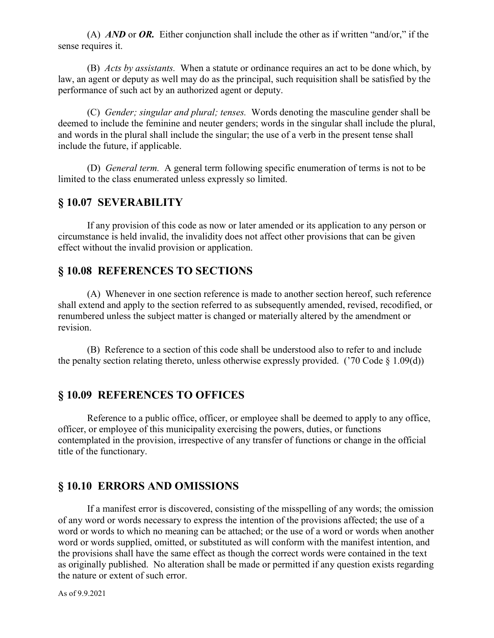(A) *AND* or *OR.* Either conjunction shall include the other as if written "and/or," if the sense requires it.

(B) *Acts by assistants.* When a statute or ordinance requires an act to be done which, by law, an agent or deputy as well may do as the principal, such requisition shall be satisfied by the performance of such act by an authorized agent or deputy.

(C) *Gender; singular and plural; tenses.* Words denoting the masculine gender shall be deemed to include the feminine and neuter genders; words in the singular shall include the plural, and words in the plural shall include the singular; the use of a verb in the present tense shall include the future, if applicable.

(D) *General term.* A general term following specific enumeration of terms is not to be limited to the class enumerated unless expressly so limited.

#### **§ 10.07 SEVERABILITY**

If any provision of this code as now or later amended or its application to any person or circumstance is held invalid, the invalidity does not affect other provisions that can be given effect without the invalid provision or application.

#### **§ 10.08 REFERENCES TO SECTIONS**

(A) Whenever in one section reference is made to another section hereof, such reference shall extend and apply to the section referred to as subsequently amended, revised, recodified, or renumbered unless the subject matter is changed or materially altered by the amendment or revision.

(B) Reference to a section of this code shall be understood also to refer to and include the penalty section relating thereto, unless otherwise expressly provided. ('70 Code  $\S$  1.09(d))

## **§ 10.09 REFERENCES TO OFFICES**

Reference to a public office, officer, or employee shall be deemed to apply to any office, officer, or employee of this municipality exercising the powers, duties, or functions contemplated in the provision, irrespective of any transfer of functions or change in the official title of the functionary.

#### **§ 10.10 ERRORS AND OMISSIONS**

If a manifest error is discovered, consisting of the misspelling of any words; the omission of any word or words necessary to express the intention of the provisions affected; the use of a word or words to which no meaning can be attached; or the use of a word or words when another word or words supplied, omitted, or substituted as will conform with the manifest intention, and the provisions shall have the same effect as though the correct words were contained in the text as originally published. No alteration shall be made or permitted if any question exists regarding the nature or extent of such error.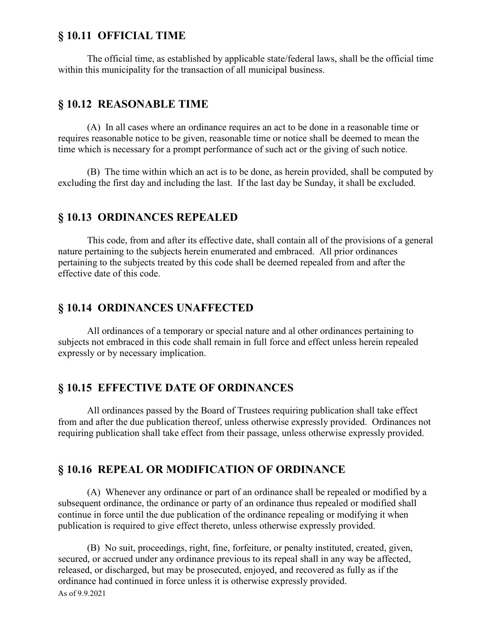#### **§ 10.11 OFFICIAL TIME**

The official time, as established by applicable state/federal laws, shall be the official time within this municipality for the transaction of all municipal business.

## **§ 10.12 REASONABLE TIME**

(A) In all cases where an ordinance requires an act to be done in a reasonable time or requires reasonable notice to be given, reasonable time or notice shall be deemed to mean the time which is necessary for a prompt performance of such act or the giving of such notice.

(B) The time within which an act is to be done, as herein provided, shall be computed by excluding the first day and including the last. If the last day be Sunday, it shall be excluded.

#### **§ 10.13 ORDINANCES REPEALED**

This code, from and after its effective date, shall contain all of the provisions of a general nature pertaining to the subjects herein enumerated and embraced. All prior ordinances pertaining to the subjects treated by this code shall be deemed repealed from and after the effective date of this code.

#### **§ 10.14 ORDINANCES UNAFFECTED**

All ordinances of a temporary or special nature and al other ordinances pertaining to subjects not embraced in this code shall remain in full force and effect unless herein repealed expressly or by necessary implication.

#### **§ 10.15 EFFECTIVE DATE OF ORDINANCES**

All ordinances passed by the Board of Trustees requiring publication shall take effect from and after the due publication thereof, unless otherwise expressly provided. Ordinances not requiring publication shall take effect from their passage, unless otherwise expressly provided.

#### **§ 10.16 REPEAL OR MODIFICATION OF ORDINANCE**

(A) Whenever any ordinance or part of an ordinance shall be repealed or modified by a subsequent ordinance, the ordinance or party of an ordinance thus repealed or modified shall continue in force until the due publication of the ordinance repealing or modifying it when publication is required to give effect thereto, unless otherwise expressly provided.

As of 9.9.2021 (B) No suit, proceedings, right, fine, forfeiture, or penalty instituted, created, given, secured, or accrued under any ordinance previous to its repeal shall in any way be affected, released, or discharged, but may be prosecuted, enjoyed, and recovered as fully as if the ordinance had continued in force unless it is otherwise expressly provided.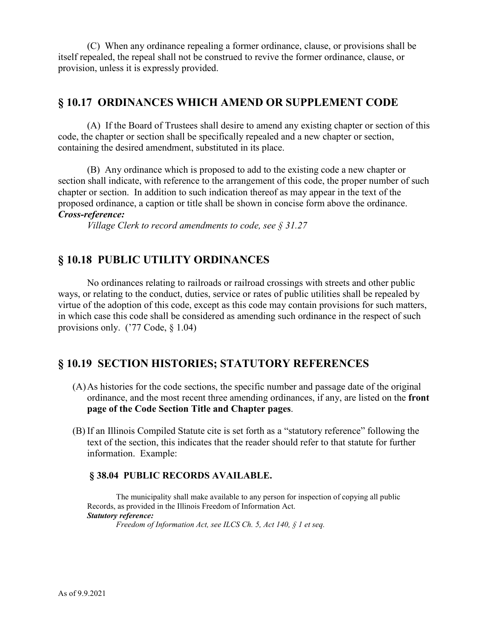(C) When any ordinance repealing a former ordinance, clause, or provisions shall be itself repealed, the repeal shall not be construed to revive the former ordinance, clause, or provision, unless it is expressly provided.

## **§ 10.17 ORDINANCES WHICH AMEND OR SUPPLEMENT CODE**

(A) If the Board of Trustees shall desire to amend any existing chapter or section of this code, the chapter or section shall be specifically repealed and a new chapter or section, containing the desired amendment, substituted in its place.

(B) Any ordinance which is proposed to add to the existing code a new chapter or section shall indicate, with reference to the arrangement of this code, the proper number of such chapter or section. In addition to such indication thereof as may appear in the text of the proposed ordinance, a caption or title shall be shown in concise form above the ordinance. *Cross-reference:*

*Village Clerk to record amendments to code, see § 31.27* 

## **§ 10.18 PUBLIC UTILITY ORDINANCES**

No ordinances relating to railroads or railroad crossings with streets and other public ways, or relating to the conduct, duties, service or rates of public utilities shall be repealed by virtue of the adoption of this code, except as this code may contain provisions for such matters, in which case this code shall be considered as amending such ordinance in the respect of such provisions only. ('77 Code, § 1.04)

#### **§ 10.19 SECTION HISTORIES; STATUTORY REFERENCES**

- (A)As histories for the code sections, the specific number and passage date of the original ordinance, and the most recent three amending ordinances, if any, are listed on the **front page of the Code Section Title and Chapter pages**.
- (B) If an Illinois Compiled Statute cite is set forth as a "statutory reference" following the text of the section, this indicates that the reader should refer to that statute for further information. Example:

#### **§ 38.04 PUBLIC RECORDS AVAILABLE.**

The municipality shall make available to any person for inspection of copying all public Records, as provided in the Illinois Freedom of Information Act.

#### *Statutory reference:*

*Freedom of Information Act, see ILCS Ch. 5, Act 140, § 1 et seq.*